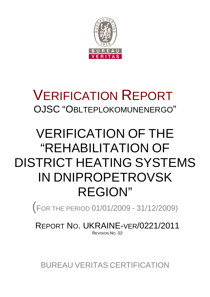

# VERIFICATION REPORT OJSC "OBLTEPLOKOMUNENERGO"

# VERIFICATION OF THE "REHABILITATION OF DISTRICT HEATING SYSTEMS IN DNIPROPETROVSK REGION"

(<sup>F</sup>OR THE PERIOD 01/01/2009 - 31/12/2009)

REPORT NO. UKRAINE-VER/0221/2011 REVISION NO. 02

BUREAU VERITAS CERTIFICATION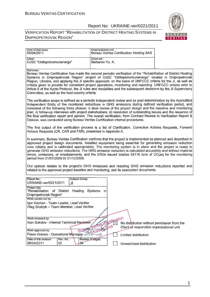#### VERIFICATION REPORT "REHABILITATION OF DISTRICT HEATING SYSTEMS IN DNIPROPETROVSK REGION"



| Date of first issue:<br>06/04/2011                                                                                                                                                                                                                                                                                                                                                                                                                                                                                                                                                                                                                                        | Organizational unit:                 | <b>Bureau Veritas Certification Holding SAS</b>                                          |  |
|---------------------------------------------------------------------------------------------------------------------------------------------------------------------------------------------------------------------------------------------------------------------------------------------------------------------------------------------------------------------------------------------------------------------------------------------------------------------------------------------------------------------------------------------------------------------------------------------------------------------------------------------------------------------------|--------------------------------------|------------------------------------------------------------------------------------------|--|
| Client:<br>OJSC "Oblteplokomunenergo"                                                                                                                                                                                                                                                                                                                                                                                                                                                                                                                                                                                                                                     | Client ref.:<br>Barbarov Yu. A.      |                                                                                          |  |
| Summary:<br>Bureau Veritas Certification has made the second periodic verification of the "Rehabilitation of District Heating<br>Systems in Dnipropetrovsk Region" project of OJSC "Oblteplokomunenergo" located in Dnipropetrovsk<br>Region, Ukraine, and applying the JI specific approach, on the basis of UNFCCC criteria for the JI, as well as<br>criteria given to provide for consistent project operations, monitoring and reporting. UNFCCC criteria refer to<br>Article 6 of the Kyoto Protocol, the JI rules and modalities and the subsequent decisions by the JI Supervisory<br>Committee, as well as the host country criteria.                            |                                      |                                                                                          |  |
| The verification scope is defined as a periodic independent review and ex post determination by the Accredited<br>Independent Entity of the monitored reductions in GHG emissions during defined verification period, and<br>consisted of the following three phases: i) desk review of the project design and the baseline and monitoring<br>plan; ii) follow-up interviews with project stakeholders; iii) resolution of outstanding issues and the issuance of<br>the final verification report and opinion. The overall verification, from Contract Review to Verification Report &<br>Opinion, was conducted using Bureau Veritas Certification internal procedures. |                                      |                                                                                          |  |
| The first output of the verification process is a list of Clarification, Corrective Actions Requests, Forward<br>Actions Requests (CR, CAR and FAR), presented in Appendix A.                                                                                                                                                                                                                                                                                                                                                                                                                                                                                             |                                      |                                                                                          |  |
| In summary, Bureau Veritas Certification confirms that the project is implemented as planned and described in<br>approved project design documents. Installed equipment being essential for generating emission reduction<br>runs reliably and is calibrated appropriately. The monitoring system is in place and the project is ready to<br>generate GHG emission reductions. The GHG emission reduction is calculated accurately and without material<br>errors, omissions, or misstatements, and the ERUs issued totalize 55116 tons of CO <sub>2</sub> eq for the monitoring<br>period from 01/01/2009 till 31/12/2009.                                               |                                      |                                                                                          |  |
| Our opinion relates to the project's GHG emissions and resulting GHG emission reductions reported and<br>related to the approved project baseline and monitoring, and its associated documents.                                                                                                                                                                                                                                                                                                                                                                                                                                                                           |                                      |                                                                                          |  |
| Report No.:<br>Subject Group:<br>UKRAINE-ver/0221/2011<br>JI                                                                                                                                                                                                                                                                                                                                                                                                                                                                                                                                                                                                              |                                      |                                                                                          |  |
| Project title:<br>"Rehabilitation of District Heating Systems<br>Dnipropetrovsk Region"                                                                                                                                                                                                                                                                                                                                                                                                                                                                                                                                                                                   | in                                   |                                                                                          |  |
| Work carried out by:<br>Igor Kachan - Team Leader, Lead Verifier<br>Oleg Skoblyk - Team Member, Lead Verifier                                                                                                                                                                                                                                                                                                                                                                                                                                                                                                                                                             |                                      |                                                                                          |  |
| Work reviewed by:<br>Ivan Sokolov - Internal Technical Reviewer<br>Work approved by:<br>BUG                                                                                                                                                                                                                                                                                                                                                                                                                                                                                                                                                                               | <b>Lifestion</b><br>SAS<br>2-folding | No distribution without permission from the<br>Client or responsible organizational unit |  |
| Flavio Gomes - Operational Manager<br>Rev. No.:<br>Date of this revision:                                                                                                                                                                                                                                                                                                                                                                                                                                                                                                                                                                                                 | Number of pages:                     | Limited distribution                                                                     |  |
| 02<br>$rac{3}{4}$<br>08/04/2011                                                                                                                                                                                                                                                                                                                                                                                                                                                                                                                                                                                                                                           |                                      | Unrestricted distribution                                                                |  |

1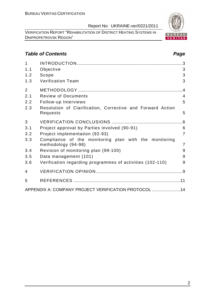VERIFICATION REPORT "REHABILITATION OF DISTRICT HEATING SYSTEMS IN DNIPROPETROVSK REGION"

#### **Table of Contents Page 2018**

| 1              |                                                                              | .3             |
|----------------|------------------------------------------------------------------------------|----------------|
| 1.1            | Objective                                                                    | 3              |
| 1.2            | Scope                                                                        | 3              |
| 1.3            | <b>Verification Team</b>                                                     | 3              |
| $\overline{2}$ |                                                                              | .4             |
| 2.1            | <b>Review of Documents</b>                                                   | $\overline{4}$ |
| 2.2            | Follow-up Interviews                                                         | 5              |
| 2.3            | Resolution of Clarification, Corrective and Forward Action<br>Requests       | 5              |
| 3              |                                                                              |                |
| 3.1            | Project approval by Parties involved (90-91)                                 | 6              |
| 3.2            | Project implementation (92-93)                                               | $\overline{7}$ |
| 3.3            | Compliance of the monitoring plan with the monitoring<br>methodology (94-98) | $\overline{7}$ |
| 3.4            | Revision of monitoring plan (99-100)                                         | 9              |
| 3.5            | Data management (101)                                                        | 9              |
| 3.6            | Verification regarding programmes of activities (102-110)                    | 9              |
| 4              |                                                                              |                |
| 5              |                                                                              |                |
|                | APPENDIX A: COMPANY PROJECT VERIFICATION PROTOCOL  14                        |                |

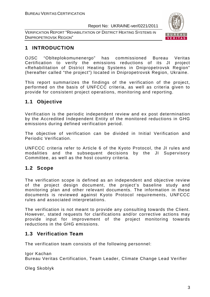VERIFICATION REPORT "REHABILITATION OF DISTRICT HEATING SYSTEMS IN DNIPROPETROVSK REGION"



#### **1 INTRODUCTION**

OJSC "Oblteplokomunenergo" has commissioned Bureau Veritas Certification to verify the emissions reductions of its JI project «Rehabilitation of District Heating Systems in Dnipropetrovsk Region" (hereafter called "the project") located in Dnipropetrovsk Region, Ukraine.

This report summarizes the findings of the verification of the project, performed on the basis of UNFCCC criteria, as well as criteria given to provide for consistent project operations, monitoring and reporting.

#### **1.1 Objective**

Verification is the periodic independent review and ex post determination by the Accredited Independent Entity of the monitored reductions in GHG emissions during defined verification period.

The objective of verification can be divided in Initial Verification and Periodic Verification.

UNFCCC criteria refer to Article 6 of the Kyoto Protocol, the JI rules and modalities and the subsequent decisions by the JI Supervisory Committee, as well as the host country criteria.

#### **1.2 Scope**

The verification scope is defined as an independent and objective review of the project design document, the project's baseline study and monitoring plan and other relevant documents. The information in these documents is reviewed against Kyoto Protocol requirements, UNFCCC rules and associated interpretations.

The verification is not meant to provide any consulting towards the Client. However, stated requests for clarifications and/or corrective actions may provide input for improvement of the project monitoring towards reductions in the GHG emissions.

#### **1.3 Verification Team**

The verification team consists of the following personnel:

Igor Kachan

Bureau Veritas Certification, Team Leader, Climate Change Lead Verifier

Oleg Skoblyk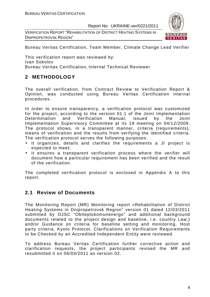VERIFICATION REPORT "REHABILITATION OF DISTRICT HEATING SYSTEMS IN DNIPROPETROVSK REGION"



Bureau Veritas Certification, Team Member, Climate Change Lead Verifier

This verification report was reviewed by: Ivan Sokolov Bureau Veritas Certification, Internal Technical Reviewer

#### **2 METHODOLOGY**

The overall verification, from Contract Review to Verification Report & Opinion, was conducted using Bureau Veritas Certification internal procedures.

In order to ensure transparency, a verification protocol was customized for the project, according to the version 01.1 of the Joint Implementation Determination and Verification Manual, issued by the Joint Implementation Supervisory Committee at its 19 meeting on 04/12/2009. The protocol shows, in a transparent manner, criteria (requirements), means of verification and the results from verifying the identified criteria. The verification protocol serves the following purposes:

- It organizes, details and clarifies the requirements a JI project is expected to meet;
- It ensures a transparent verification process where the verifier will document how a particular requirement has been verified and the result of the verification.

The completed verification protocol is enclosed in Appendix A to this report.

#### **2.1 Review of Documents**

The Monitoring Report (MR) Monitoring report «Rehabilitation of District Heating Systems in Dnipropetrovsk Region" version 01 dated 12/03/2011 submitted by OJSC "Oblteplokomunenergo" and additional background documents related to the project design and baseline, i.e. country Law,) and/or Guidance on criteria for baseline setting and monitoring, Host party criteria, Kyoto Protocol, Clarifications on Verification Requirements to be Checked by an Accredited Independent Entity were reviewed.

To address Bureau Veritas Certification further corrective action and clarification requests, the project participants revised the MR and resubmitted it on 06/04/2011 as version 02.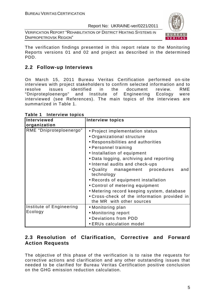VERIFICATION REPORT "REHABILITATION OF DISTRICT HEATING SYSTEMS IN DNIPROPETROVSK REGION"



The verification findings presented in this report relate to the Monitoring Reports versions 01 and 02 and project as described in the determined PDD.

#### **2.2 Follow-up Interviews**

On March 15, 2011 Bureau Veritas Certification performed on-site interviews with project stakeholders to confirm selected information and to resolve issues identified in the document review. RME "Dniproteploenergo" and Institute of Engineering Ecology were interviewed (see References). The main topics of the interviews are summarized in Table 1.

| Interviewed              | <b>Interview topics</b>                                                   |
|--------------------------|---------------------------------------------------------------------------|
| organization             |                                                                           |
| RME "Dniproteploenergo"  | • Project implementation status                                           |
|                          | • Organizational structure                                                |
|                          | • Responsibilities and authorities                                        |
|                          | • Personnel training                                                      |
|                          | • Installation of equipment                                               |
|                          | • Data logging, archiving and reporting                                   |
|                          | • Internal audits and check-ups                                           |
|                          | • Quality management procedures<br>and<br>technology                      |
|                          | • Records of equipment installation                                       |
|                          | • Control of metering equipment                                           |
|                          | • Metering record keeping system, database                                |
|                          | • Cross-check of the information provided in<br>the MR with other sources |
| Institute of Engineering | • Monitoring plan                                                         |
| Ecology                  | • Monitoring report                                                       |
|                          | • Deviations from PDD                                                     |
|                          | • ERUs calculation model                                                  |

#### **Table 1 Interview topics**

#### **2.3 Resolution of Clarification, Corrective and Forward Action Requests**

The objective of this phase of the verification is to raise the requests for corrective actions and clarification and any other outstanding issues that needed to be clarified for Bureau Veritas Certification positive conclusion on the GHG emission reduction calculation.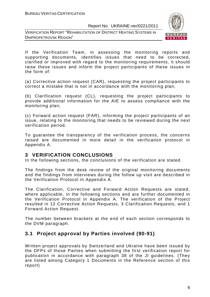



If the Verification Team, in assessing the monitoring reports and supporting documents, identifies issues that need to be corrected, clarified or improved with regard to the monitoring requirements, it should raise these issues and inform the project participants of these issues in the form of:

(a) Corrective action request (CAR), requesting the project participants to correct a mistake that is not in accordance with the monitoring plan;

(b) Clarification request (CL), requesting the project participants to provide additional information for the AIE to assess compliance with the monitoring plan;

(c) Forward action request (FAR), informing the project participants of an issue, relating to the monitoring that needs to be reviewed during the next verification period.

To guarantee the transparency of the verification process, the concerns raised are documented in more detail in the verification protocol in Appendix A.

#### **3 VERIFICATION CONCLUSIONS**

In the following sections, the conclusions of the verification are stated.

The findings from the desk review of the original monitoring documents and the findings from interviews during the follow up visit are described in the Verification Protocol in Appendix A.

The Clarification, Corrective and Forward Action Requests are stated, where applicable, in the following sections and are further documented in the Verification Protocol in Appendix A. The verification of the Project resulted in 12 Corrective Action Requests, 3 Clarification Requests, and 1 Forward Action Request.

The number between brackets at the end of each section corresponds to the DVM paragraph.

#### **3.1 Project approval by Parties involved (90-91)**

Written project approvals by Switzerland and Ukraine have been issued by the DFPs of those Parties when submitting the first verification report for publication in accordance with paragraph 38 of the JI guidelines. (They are listed among Category 1 Documents in the Reference section of this report)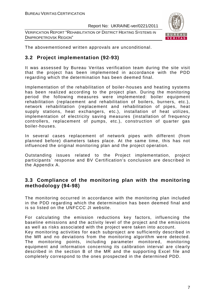VERIFICATION REPORT "REHABILITATION OF DISTRICT HEATING SYSTEMS IN DNIPROPETROVSK REGION"



The abovementioned written approvals are unconditional.

#### **3.2 Project implementation (92-93)**

It was assessed by Bureau Veritas verification team during the site visit that the project has been implemented in accordance with the PDD regarding which the determination has been deemed final.

Implementation of the rehabilitation of boiler-houses and heating systems has been realized according to the project plan. During the monitoring period the following measures were implemented: boiler equipment rehabilitation (replacement and rehabilitation of boilers, burners, etc.), network rehabilitation (replacement and rehabilitation of pipes, heat supply stations, heat exchangers, etc.), installation of heat utilizes, implementation of electricity saving measures (installation of frequency controllers, replacement of pumps, etc.), construction of quarter gas boiler-houses.

In several cases replacement of network pipes with different (from planned before) diameters takes place. At the same time, this has not influenced the original monitoring plan and the project operation.

Outstanding issues related to the Project implementation, project participants` response and BV Certification's conclusion are described in the Appendix A.

#### **3.3 Compliance of the monitoring plan with the monitoring methodology (94-98)**

The monitoring occurred in accordance with the monitoring plan included in the PDD regarding which the determination has been deemed final and is so listed on the UNFCCC JI website.

For calculating the emission reductions key factors, influencing the baseline emissions and the activity level of the project and the emissions as well as risks associated with the project were taken into account. Key monitoring activities for each subproject are sufficiently described in the MR and no deviations from the monitoring algorithm were detected. The monitoring points, including parameter monitored, monitoring equipment and information concerning its calibration interval are clearly described in the section B of the MR and the supporting Excel file and completely correspond to the ones prospected in the determined PDD.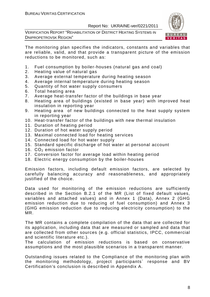VERIFICATION REPORT "REHABILITATION OF DISTRICT HEATING SYSTEMS IN DNIPROPETROVSK REGION"



The monitoring plan specifies the indicators, constants and variables that are reliable, valid, and that provide a transparent picture of the emission reductions to be monitored, such as:

- 1. Fuel consumption by boiler-houses (natural gas and coal)
- 2. Heating value of natural gas
- 3. Average external temperature during heating season
- 4. Average internal temperature during heating season
- 5. Quantity of hot water supply consumers
- 6. Total heating area
- 7. Average heat-transfer factor of the buildings in base year
- 8. Heating area of buildings (existed in base year) with improved heat insulation in reporting year
- 9. Heating area of new buildings connected to the heat supply system in reporting year
- 10. Heat-transfer factor of the buildings with new thermal insulation
- 11. Duration of heating period
- 12. Duration of hot water supply period
- 13. Maximal connected load for heating services
- 14. Connected load for hot water supply
- 15. Standard specific discharge of hot water at personal account
- 16.  $CO<sub>2</sub>$  emission factor
- 17. Conversion factor for average load within heating period
- 18. Electric energy consumption by the boiler-houses

Emission factors, including default emission factors, are selected by carefully balancing accuracy and reasonableness, and appropriately justified of the choice.

Data used for monitoring of the emission reductions are sufficiently described in the Section B.2.1 of the MR (List of fixed default values, variables and attached values) and in Annex 1 (Data), Annex 2 (GHG emission reduction due to reducing of fuel consumption) and Annex 3 (GHG emission reduction due to reducing electricity consumption) to the MR.

The MR contains a complete compilation of the data that are collected for its application, including data that are measured or sampled and data that are collected from other sources (e.g. official statistics, IPCC, commercial and scientific literature etc.).

The calculation of emission reductions is based on conservative assumptions and the most plausible scenarios in a transparent manner.

Outstanding issues related to the Compliance of the monitoring plan with the monitoring methodology, project participants` response and BV Certification's conclusion is described in Appendix A.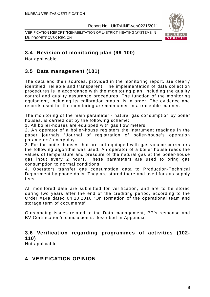VERIFICATION REPORT "REHABILITATION OF DISTRICT HEATING SYSTEMS IN DNIPROPETROVSK REGION"



#### **3.4 Revision of monitoring plan (99-100)**

Not applicable.

#### **3.5 Data management (101)**

The data and their sources, provided in the monitoring report, are clearly identified, reliable and transparent. The implementation of data collection procedures is in accordance with the monitoring plan, including the quality control and quality assurance procedures. The function of the monitoring equipment, including its calibration status, is in order. The evidence and records used for the monitoring are maintained in a traceable manner.

The monitoring of the main parameter - natural gas consumption by boiler houses, is carried out by the following scheme:

1. All boiler-houses are equipped with gas flow meters.

2. An operator of a boiler-house registers the instrument readings in the paper journals "Journal of registration of boiler-house's operation parameters" every day.

3. For the boiler-houses that are not equipped with gas volume correctors the following algorithm was used. An operator of a boiler house reads the values of temperature and pressure of the natural gas at the boiler-house gas input every 2 hours. These parameters are used to bring gas consumption to normal conditions.

4. Operators transfer gas consumption data to Production-Technical Department by phone daily. They are stored there and used for gas supply fees.

All monitored data are submitted for verification, and are to be stored during two years after the end of the crediting period, according to the Order #14a dated 04.10.2010 "On formation of the operational team and storage term of documents"

Outstanding issues related to the Data management, PP's response and BV Certification's conclusion is described in Appendix.

#### **3.6 Verification regarding programmes of activities (102- 110)**

Not applicable

#### **4 VERIFICATION OPINION**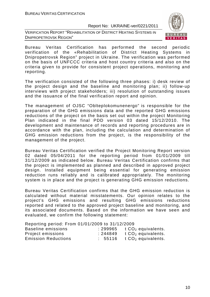VERIFICATION REPORT "REHABILITATION OF DISTRICT HEATING SYSTEMS IN DNIPROPETROVSK REGION"



Bureau Veritas Certification has performed the second periodic verification of the «Rehabilitation of District Heating Systems in Dnipropetrovsk Region" project in Ukraine. The verification was performed on the basis of UNFCCC criteria and host country criteria and also on the criteria given to provide for consistent project operations, monitoring and reporting.

The verification consisted of the following three phases: i) desk review of the project design and the baseline and monitoring plan; ii) follow-up interviews with project stakeholders; iii) resolution of outstanding issues and the issuance of the final verification report and opinion.

The management of OJSC "Oblteplokomunenergo" is responsible for the preparation of the GHG emissions data and the reported GHG emissions reductions of the project on the basis set out within the project Monitoring Plan indicated in the final PDD version 03 dated 15/12/2010. The development and maintenance of records and reporting procedures are in accordance with the plan, including the calculation and determination of GHG emission reductions from the project, is the responsibility of the management of the project.

Bureau Veritas Certification verified the Project Monitoring Report version 02 dated 05/04/2011 for the reporting period from 01/01/2009 till 31/12/2009 as indicated below. Bureau Veritas Certification confirms that the project is implemented as planned and described in approved project design. Installed equipment being essential for generating emission reduction runs reliably and is calibrated appropriately. The monitoring system is in place and the project is generating GHG emission reductions.

Bureau Veritas Certification confirms that the GHG emission reduction is calculated without material misstatements. Our opinion relates to the project's GHG emissions and resulting GHG emissions reductions reported and related to the approved project baseline and monitoring, and its associated documents. Based on the information we have seen and evaluated, we confirm the following statement:

Reporting period: From 01/01/2009 to 31/12/2009

| Baseline emissions         | : 299965 | t $CO2$ equivalents. |
|----------------------------|----------|----------------------|
| Project emissions          | :244849  | t $CO2$ equivalents. |
| <b>Emission Reductions</b> | : 55116  | t $CO2$ equivalents. |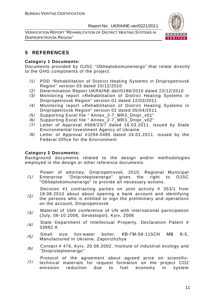VERIFICATION REPORT "REHABILITATION OF DISTRICT HEATING SYSTEMS IN DNIPROPETROVSK REGION"



#### **5 REFERENCES**

#### **Category 1 Documents:**

Documents provided by OJSC "Oblteplokomunenergo" that relate directly to the GHG components of the project.

- /1/ PDD "Rehabilitation of District Heating Systems in Dnipropetrovsk Region" version 03 dated 15/12/2010
- /2/ Determination Report UKRAINE-det/0186/2010 dated 22/12/2010
- /3/ Monitoring report «Rehabilitation of District Heating Systems in Dnipropetrovsk Region" version 01 dated 12/03/2011
- /4/ Monitoring report «Rehabilitation of District Heating Systems in Dnipropetrovsk Region" version 02 dated 05/04/2011
- /5/ Supporting Excel file " Annex\_2-7\_MR3\_Dnipr\_v01"
- /6/ Supporting Excel file " Annex\_2-7\_MR3\_Dnipr\_v02"
- /7/ Letter of Approval #569/23/7 dated 16.03.2011. issued by State Environmental Investment Agency of Ukraine
- /8/ Letter of Approval #J294-0485 dated 24.01.2011. issued by the Federal Office for the Environment

#### **Category 2 Documents:**

Background documents related to the design and/or methodologies employed in the design or other reference documents.

/1/ Power of attorney, Dnipropetrovsk, 2010, Regional Municipal Enterprise "Dniproteploenergo" gives the right to OJSC "Oblteplokomunenergo" to provide all necessary actions.

Decision #1 contracting parties on joint activity # 353/1 from

- /2/ 18.08.2010 about about opening a bank account and identifying the persons who is entitled to sign the preliminary and operations on the account, Dnipropetrovsk
- /3/ Material of 16th conference of UN with international participation (July, 06-10 2006, Sevastopol), Kyiv, 2006
- /4/ State Department of Intellectual Property, Declaration Patent # 33892 A
- /5/ Small size hot-water boiler, КВ-ГМ-58-115СН МВ <sup>К</sup>-5, Manufactured in Ukraine, Zaporizhzhya
- /6/ Contact # 476, Kyiv, 20.06.2002, Institute of industrial ecology and ''Dniproteploenergo''

/7/ Protocol of the agreement about agreed price on scientifictechnical materials for request formation on the project CO2 emission reduction due to fuel economy in system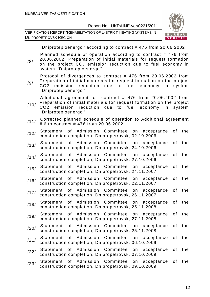VERIFICATION REPORT "REHABILITATION OF DISTRICT HEATING SYSTEMS IN DNIPROPETROVSK REGION"



''Dniproteploenergo'' according to contract # 476 from 20.06.2002

Planned schedule of operation according to contract # 476 from 20.06.2002. Preparation of initial materials for request formation

/8/ on the project  $CO<sub>2</sub>$  emission reduction due to fuel economy in system ''Dniproteploenergo''

Protocol of divergences to contract # 476 from 20.06.2002 from Preparation of initial materials for request formation on the project

/9/ CO2 emission reduction due to fuel economy in system ''Dniproteploenergo''

Additional agreement to contract # 476 from 20.06.2002 from Preparation of initial materials for request formation on the project

- /10/ CO2 emission reduction due to fuel economy in system ''Dniproteploenergo''
- /11/ Corrected planned schedule of operation to Additional agreement # 6 to contract # 476 from 20.06.2002
- /12/ Statement of Admission Committee on acceptance of the construction completion, Dnipropetrovsk, 02.10.2006
- /13/ Statement of Admission Committee on acceptance of the construction completion, Dnipropetrovsk, 24.10.2006
- /14/ Statement of Admission Committee on acceptance of the construction completion, Dnipropetrovsk, 27.10.2006
- /15/ Statement of Admission Committee on acceptance of the construction completion, Dnipropetrovsk, 24.11.2007
- /16/ Statement of Admission Committee on acceptance of the construction completion, Dnipropetrovsk, 22.11.2007
- /17/ Statement of Admission Committee on acceptance of the construction completion, Dnipropetrovsk, 26.11.2007
- /18/ Statement of Admission Committee on acceptance of the construction completion, Dnipropetrovsk, 25.11.2008
- /19/ Statement of Admission Committee on acceptance of the construction completion, Dnipropetrovsk, 27.11.2008
- /20/ Statement of Admission Committee on acceptance of the construction completion, Dnipropetrovsk, 25.11.2008
- /21/ Statement of Admission Committee on acceptance of the construction completion, Dnipropetrovsk, 06.10.2009
- /22/ Statement of Admission Committee on acceptance of the construction completion, Dnipropetrovsk, 07.10.2009
- /23/ Statement of Admission Committee on acceptance of the construction completion, Dnipropetrovsk, 09.10.2009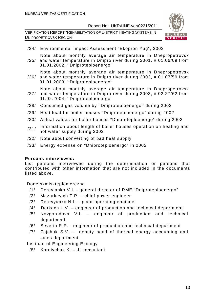VERIFICATION REPORT "REHABILITATION OF DISTRICT HEATING SYSTEMS IN DNIPROPETROVSK REGION"



/24/ Environmental Impact Assessment "Ekopron Yug", 2003

Note about monthly average air temperature in Dnepropetrovsk

- /25/ and water temperature in Dnipro river during 2001, # 01.06/09 from 31.01.2002, ''Dniproteploenergo''
- /26/ and water temperature in Dnipro river during 2002, # 01.07/59 from Note about monthly average air temperature in Dnepropetrovsk 31.01.2003, ''Dniproteploenergo''

Note about monthly average air temperature in Dnepropetrovsk

- /27/ and water temperature in Dnipro river during 2003, # 02.27/62 from 01.02.2004, ''Dniproteploenergo''
- /28/ Consumed gas volume by ''Dniproteploenergo'' during 2002
- /29/ Heat load for boiler houses "Dniproteploenergo" during 2002
- /30/ Actual values for boiler houses "Dniproteploenergo" during 2002
- /31/ Information about length of boiler houses operation on heating and hot water supply during 2002
- /32/ Note about converting of bad heat supply
- /33/ Energy expense on "Dniproteploenergo" in 2002

#### **Persons interviewed:**

List persons interviewed during the determination or persons that contributed with other information that are not included in the documents listed above.

Donetskmiskteplomerezha

- /1/ Derevianko V.I. general director of RME "Dniproteploenergo"
- /2/ Mazurkevich T.P. chief power engineer
- /3/ Derevyanko N.I. plant-operating engineer
- /4/ Derkach L.V. engineer of production and technical department
- /5/ Novgorodova V.I. engineer of production and technical department
- /6/ Severin R.P. engineer of production and technical department
- /7/ Zajchuk S.V. deputy head of thermal energy accounting and sales department

Institute of Engineering Ecology

/8/ Korniychuk K. – JI consultant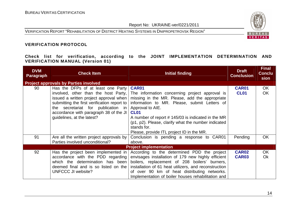VERIFICATION REPORT "REHABILITATION OF DISTRICT HEATING SYSTEMS IN DNIPROPETROVSK REGION"



#### **VERIFICATION PROTOCOL**

**Check list for verification, according to the JOINT IMPLEMENTATION DETERMINATION AND VERIFICATION MANUAL (Version 01)** 

| <b>DVM</b><br><b>Paragraph</b> | <b>Check Item</b>                            | <b>Initial finding</b>                                | <b>Draft</b><br><b>Conclusion</b> | <b>Final</b><br><b>Conclu</b><br>sion |
|--------------------------------|----------------------------------------------|-------------------------------------------------------|-----------------------------------|---------------------------------------|
|                                | <b>Project approvals by Parties involved</b> |                                                       |                                   |                                       |
| 90                             | Has the DFPs of at least one Party           | <b>CAR01</b>                                          | <b>CAR01</b>                      | OK                                    |
|                                | involved, other than the host Party,         | The information concerning project approval is        | <b>CL01</b>                       | OK                                    |
|                                | issued a written project approval when       | missing in the MR. Please, add the appropriate        |                                   |                                       |
|                                | submitting the first verification report to  | information to MR. Please, submit Letters of          |                                   |                                       |
|                                | the secretariat for publication in           | Approval to AIE.                                      |                                   |                                       |
|                                | accordance with paragraph 38 of the JI       | CL <sub>01</sub>                                      |                                   |                                       |
|                                | guidelines, at the latest?                   | A number of report #145/03 is indicated in the MR     |                                   |                                       |
|                                |                                              | (p1, p2). Please, clarify what the number indicated   |                                   |                                       |
|                                |                                              | stands for.                                           |                                   |                                       |
|                                |                                              | Please, provide ITL project ID in the MR.             |                                   |                                       |
| 91                             | Are all the written project approvals by     | Conclusion is pending a response to CAR01             | Pending                           | <b>OK</b>                             |
|                                | Parties involved unconditional?              | above.                                                |                                   |                                       |
|                                |                                              | <b>Project implementation</b>                         |                                   |                                       |
| 92                             | Has the project been implemented in          | According to the determined PDD the project           | <b>CAR02</b>                      | OK                                    |
|                                | accordance with the PDD regarding            | envisages installation of 179 new highly efficient    | <b>CAR03</b>                      | <b>Ok</b>                             |
|                                | which the determination has been             | boilers, replacement of 208 boilers' burners,         |                                   |                                       |
|                                | deemed final and is so listed on the         | installation of 61 heat utilizers, and reconstruction |                                   |                                       |
|                                | UNFCCC JI website?                           | of over 90 km of heat distributing networks.          |                                   |                                       |
|                                |                                              | Implementation of boiler houses rehabilitation and    |                                   |                                       |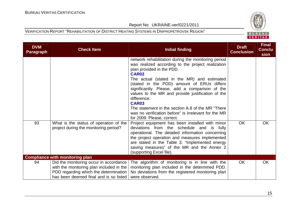

| <b>DVM</b><br><b>Paragraph</b> | <b>Check Item</b>                                                                                                                                                     | <b>Initial finding</b>                                                                                                                                                                                                                                                                                                                                                                                                                                                                                                             | <b>Draft</b><br><b>Conclusion</b> | <b>Final</b><br><b>Conclu</b><br>sion |
|--------------------------------|-----------------------------------------------------------------------------------------------------------------------------------------------------------------------|------------------------------------------------------------------------------------------------------------------------------------------------------------------------------------------------------------------------------------------------------------------------------------------------------------------------------------------------------------------------------------------------------------------------------------------------------------------------------------------------------------------------------------|-----------------------------------|---------------------------------------|
|                                |                                                                                                                                                                       | network rehabilitation during the monitoring period<br>was realized according to the project realization<br>plan provided in the PDD.<br>CAR <sub>02</sub><br>The actual (stated in the MR) and estimated<br>(stated in the PDD) amount of ERUs differs<br>significantly. Please, add a comparison of the<br>values to the MR and provide justification of the<br>difference.<br>CAR03<br>The statement in the section A.8 of the MR "There"<br>was no verification before" is irrelevant for the MR<br>for 2009. Please, correct. |                                   |                                       |
| 93                             | What is the status of operation of the<br>project during the monitoring period?                                                                                       | Project equipment has been installed with minor<br>deviations from the schedule and is fully<br>operational. The detailed information concerning<br>the project operation and measures implemented<br>are stated in the Table 3. "Implemented energy<br>saving measures" of the MR and the Annex 2<br>(supporting Excel file).                                                                                                                                                                                                     | <b>OK</b>                         | <b>OK</b>                             |
|                                | <b>Compliance with monitoring plan</b>                                                                                                                                |                                                                                                                                                                                                                                                                                                                                                                                                                                                                                                                                    |                                   |                                       |
| 94                             | Did the monitoring occur in accordance<br>with the monitoring plan included in the<br>PDD regarding which the determination<br>has been deemed final and is so listed | The algorithm of monitoring is in line with the<br>monitoring plan included in the determined PDD.<br>No deviations from the registered monitoring plan<br>were observed.                                                                                                                                                                                                                                                                                                                                                          | OK                                | OK                                    |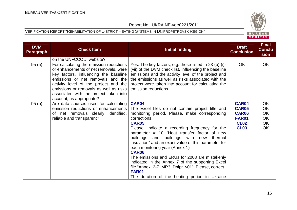

| <b>DVM</b><br><b>Paragraph</b> | <b>Check Item</b>                                                                                                                                                                                                                                                                                                                                    | <b>Initial finding</b>                                                                                                                                                                                                                                                                                                                                                                                                                                                                                                                                                                                                          | <b>Draft</b><br><b>Conclusion</b>                                                   | <b>Final</b><br><b>Conclu</b><br>sion          |
|--------------------------------|------------------------------------------------------------------------------------------------------------------------------------------------------------------------------------------------------------------------------------------------------------------------------------------------------------------------------------------------------|---------------------------------------------------------------------------------------------------------------------------------------------------------------------------------------------------------------------------------------------------------------------------------------------------------------------------------------------------------------------------------------------------------------------------------------------------------------------------------------------------------------------------------------------------------------------------------------------------------------------------------|-------------------------------------------------------------------------------------|------------------------------------------------|
| 95(a)                          | on the UNFCCC JI website?<br>For calculating the emission reductions<br>or enhancements of net removals, were<br>key factors, influencing the baseline<br>emissions or net removals and the<br>activity level of the project and the<br>emissions or removals as well as risks<br>associated with the project taken into<br>account, as appropriate? | Yes. The key factors, e.g. those listed in 23 (b) (i)-<br>(vii) of the DVM check list, influencing the baseline<br>emissions and the activity level of the project and<br>the emissions as well as risks associated with the<br>project were taken into account for calculating the<br>emission reductions.                                                                                                                                                                                                                                                                                                                     | <b>OK</b>                                                                           | OK                                             |
| 95(b)                          | Are data sources used for calculating<br>emission reductions or enhancements<br>of net removals clearly identified,<br>reliable and transparent?                                                                                                                                                                                                     | <b>CAR04</b><br>The Excel files do not contain project title and<br>monitoring period. Please, make corresponding<br>corrections.<br><b>CAR05</b><br>Please, indicate a recording frequency for the<br>parameter # 10 "Heat transfer factor of new<br>buildings and buildings with new<br>thermal<br>insulation" and an exact value of this parameter for<br>each monitoring year (Annex 1)<br>CAR06<br>The emissions and ERUs for 2008 are mistakenly<br>indicated in the Annex 7 of the supporting Excel<br>file "Annex_2-7_MR3_Dnipr_v01". Please, correct.<br><b>FAR01</b><br>The duration of the heating period in Ukraine | CAR04<br><b>CAR05</b><br><b>CAR06</b><br><b>FAR01</b><br><b>CL02</b><br><b>CL03</b> | OK<br><b>OK</b><br>OK<br>OK<br>OK<br><b>OK</b> |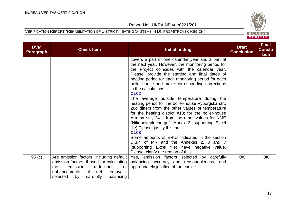

| <b>DVM</b><br><b>Paragraph</b> | <b>Check Item</b>                                                                       | Initial finding                                                                                    | <b>Draft</b><br><b>Conclusion</b> | <b>Final</b><br><b>Conclu</b><br>sion |
|--------------------------------|-----------------------------------------------------------------------------------------|----------------------------------------------------------------------------------------------------|-----------------------------------|---------------------------------------|
|                                |                                                                                         | covers a part of one calendar year and a part of                                                   |                                   |                                       |
|                                |                                                                                         | the next year. However, the monitoring period for<br>the Project coincides with the calendar year. |                                   |                                       |
|                                |                                                                                         | Please, provide the starting and final dates of                                                    |                                   |                                       |
|                                |                                                                                         | heating period for each monitoring period for each                                                 |                                   |                                       |
|                                |                                                                                         | boiler-house and make corresponding corrections                                                    |                                   |                                       |
|                                |                                                                                         | in the calculations.                                                                               |                                   |                                       |
|                                |                                                                                         | <b>CL02</b><br>The average outside temperature during the                                          |                                   |                                       |
|                                |                                                                                         | heating period for the boiler-house Vyborgska str.,                                                |                                   |                                       |
|                                |                                                                                         | 28d differs from the other values of temperature                                                   |                                   |                                       |
|                                |                                                                                         | for the heating district #10; for the boiler-house                                                 |                                   |                                       |
|                                |                                                                                         | Artema str., $24$ – from the other values for NME                                                  |                                   |                                       |
|                                |                                                                                         | "Nikopolteploenergo" (Annex 2, supporting Excel                                                    |                                   |                                       |
|                                |                                                                                         | file) Please, justify this fact.<br><b>CL03</b>                                                    |                                   |                                       |
|                                |                                                                                         | Some amounts of ERUs indicated in the section                                                      |                                   |                                       |
|                                |                                                                                         | D.3.4 of MR and the Annexes 2, 3 and 7                                                             |                                   |                                       |
|                                |                                                                                         | (supporting Excel file) have negative value.                                                       |                                   |                                       |
|                                |                                                                                         | Please, clarify the reason of this.                                                                |                                   |                                       |
| 95(c)                          | Are emission factors, including default                                                 | Yes, emission factors selected by carefully                                                        | <b>OK</b>                         | <b>OK</b>                             |
|                                | emission factors, if used for calculating<br>emission<br>reductions<br>the<br><b>or</b> | balancing accuracy and reasonableness, and<br>appropriately justified of the choice.               |                                   |                                       |
|                                | enhancements<br>of net<br>removals,                                                     |                                                                                                    |                                   |                                       |
|                                | carefully<br>balancing<br>selected<br>by                                                |                                                                                                    |                                   |                                       |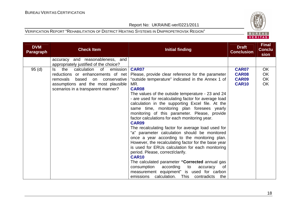

| <b>DVM</b><br><b>Paragraph</b> | <b>Check Item</b>                                                          | Initial finding                                      | <b>Draft</b><br><b>Conclusion</b> | <b>Final</b><br><b>Conclu</b><br>sion |
|--------------------------------|----------------------------------------------------------------------------|------------------------------------------------------|-----------------------------------|---------------------------------------|
|                                | accuracy and reasonableness, and<br>appropriately justified of the choice? |                                                      |                                   |                                       |
| 95(d)                          | calculation<br>emission<br>ls.<br>the<br>of                                | CAR07                                                | <b>CAR07</b>                      | <b>OK</b>                             |
|                                | reductions or enhancements of net                                          | Please, provide clear reference for the parameter    | <b>CAR08</b>                      | OK                                    |
|                                | removals<br>based<br>on<br>conservative                                    | "outside temperature" indicated in the Annex 1 of    | <b>CAR09</b>                      | OK                                    |
|                                | assumptions and the most plausible                                         | MR.                                                  | <b>CAR10</b>                      | OK                                    |
|                                | scenarios in a transparent manner?                                         | CAR08                                                |                                   |                                       |
|                                |                                                                            | The values of the outside temperature - 23 and 24    |                                   |                                       |
|                                |                                                                            | - are used for recalculating factor for average load |                                   |                                       |
|                                |                                                                            | calculation in the supporting Excel file. At the     |                                   |                                       |
|                                |                                                                            | same time, monitoring plan foresees yearly           |                                   |                                       |
|                                |                                                                            | monitoring of this parameter. Please, provide        |                                   |                                       |
|                                |                                                                            | factor calculations for each monitoring year.        |                                   |                                       |
|                                |                                                                            | <b>CAR09</b>                                         |                                   |                                       |
|                                |                                                                            | The recalculating factor for average load used for   |                                   |                                       |
|                                |                                                                            | "a" parameter calculation should be monitored        |                                   |                                       |
|                                |                                                                            | once a year according to the monitoring plan.        |                                   |                                       |
|                                |                                                                            | However, the recalculating factor for the base year  |                                   |                                       |
|                                |                                                                            | is used for ERUs calculation for each monitoring     |                                   |                                       |
|                                |                                                                            | period. Please, correct/clarify.                     |                                   |                                       |
|                                |                                                                            | <b>CAR10</b>                                         |                                   |                                       |
|                                |                                                                            | The calculated parameter "Corrected annual gas       |                                   |                                       |
|                                |                                                                            | consumption according<br>to<br>accuracy<br>0f        |                                   |                                       |
|                                |                                                                            | measurement equipment" is used for carbon            |                                   |                                       |
|                                |                                                                            | calculation.<br>This contradicts<br>emissions<br>the |                                   |                                       |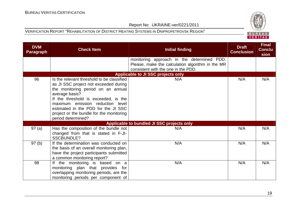

| <b>DVM</b><br><b>Paragraph</b> | <b>Check Item</b>                                                                                                                                                                                                                                                                                                                | <b>Initial finding</b>                                                                                                                | <b>Draft</b><br><b>Conclusion</b> | <b>Final</b><br><b>Conclu</b><br>sion |
|--------------------------------|----------------------------------------------------------------------------------------------------------------------------------------------------------------------------------------------------------------------------------------------------------------------------------------------------------------------------------|---------------------------------------------------------------------------------------------------------------------------------------|-----------------------------------|---------------------------------------|
|                                |                                                                                                                                                                                                                                                                                                                                  | monitoring approach in the determined PDD.<br>Please, make the calculation algorithm in the MR<br>consistent with the one in the PDD. |                                   |                                       |
|                                |                                                                                                                                                                                                                                                                                                                                  | <b>Applicable to JI SSC projects only</b>                                                                                             |                                   |                                       |
| 96                             | Is the relevant threshold to be classified<br>as JI SSC project not exceeded during<br>the monitoring period on an annual<br>average basis?<br>If the threshold is exceeded, is the<br>maximum emission reduction level<br>estimated in the PDD for the JI SSC<br>project or the bundle for the monitoring<br>period determined? | N/A                                                                                                                                   | N/A                               | N/A                                   |
|                                |                                                                                                                                                                                                                                                                                                                                  | Applicable to bundled JI SSC projects only                                                                                            |                                   |                                       |
| 97(a)                          | Has the composition of the bundle not<br>changed from that is stated in F-JI-<br><b>SSCBUNDLE?</b>                                                                                                                                                                                                                               | N/A                                                                                                                                   | N/A                               | N/A                                   |
| 97(b)                          | If the determination was conducted on<br>the basis of an overall monitoring plan,<br>have the project participants submitted<br>a common monitoring report?                                                                                                                                                                      | N/A                                                                                                                                   | N/A                               | N/A                                   |
| 98                             | If the monitoring is based on a<br>plan that provides for<br>monitoring<br>overlapping monitoring periods, are the<br>monitoring periods per component of                                                                                                                                                                        | N/A                                                                                                                                   | N/A                               | N/A                                   |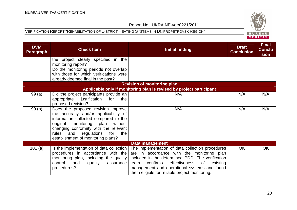

| <b>DVM</b><br><b>Paragraph</b> | <b>Check Item</b>                                                             | Initial finding                                                                                | <b>Draft</b><br><b>Conclusion</b> | <b>Final</b><br><b>Conclu</b><br>sion |
|--------------------------------|-------------------------------------------------------------------------------|------------------------------------------------------------------------------------------------|-----------------------------------|---------------------------------------|
|                                | the project clearly specified in the<br>monitoring report?                    |                                                                                                |                                   |                                       |
|                                | Do the monitoring periods not overlap                                         |                                                                                                |                                   |                                       |
|                                | with those for which verifications were                                       |                                                                                                |                                   |                                       |
|                                | already deemed final in the past?                                             |                                                                                                |                                   |                                       |
|                                |                                                                               | <b>Revision of monitoring plan</b>                                                             |                                   |                                       |
|                                |                                                                               | Applicable only if monitoring plan is revised by project participant                           |                                   |                                       |
| 99(a)                          | Did the project participants provide an                                       | N/A                                                                                            | N/A                               | N/A                                   |
|                                | appropriate<br>justification<br>for<br>the                                    |                                                                                                |                                   |                                       |
|                                | proposed revision?                                                            |                                                                                                |                                   |                                       |
| 99(b)                          | Does the proposed revision improve                                            | N/A                                                                                            | N/A                               | N/A                                   |
|                                | the accuracy and/or applicability of<br>information collected compared to the |                                                                                                |                                   |                                       |
|                                | monitoring<br>original<br>plan<br>without                                     |                                                                                                |                                   |                                       |
|                                | changing conformity with the relevant                                         |                                                                                                |                                   |                                       |
|                                | rules<br>and<br>regulations<br>for<br>the                                     |                                                                                                |                                   |                                       |
|                                | establishment of monitoring plans?                                            |                                                                                                |                                   |                                       |
|                                |                                                                               | Data management                                                                                |                                   |                                       |
| 101 $(a)$                      | Is the implementation of data collection                                      | The implementation of data collection procedures                                               | <b>OK</b>                         | OK                                    |
|                                | procedures in accordance with the                                             | are in accordance with the monitoring plan                                                     |                                   |                                       |
|                                | monitoring plan, including the quality                                        | included in the determined PDD. The verification                                               |                                   |                                       |
|                                | control<br>and<br>quality<br>assurance                                        | confirms<br>effectiveness<br>of<br>existing<br>team                                            |                                   |                                       |
|                                | procedures?                                                                   | management and operational systems and found<br>them eligible for reliable project monitoring. |                                   |                                       |
|                                |                                                                               |                                                                                                |                                   |                                       |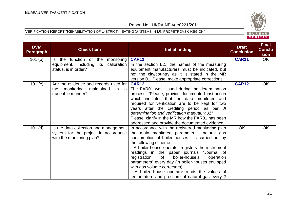

| <b>DVM</b><br><b>Paragraph</b> | <b>Check Item</b>                       | Initial finding                                    | <b>Draft</b><br><b>Conclusion</b> | <b>Final</b><br><b>Conclu</b><br>sion |
|--------------------------------|-----------------------------------------|----------------------------------------------------|-----------------------------------|---------------------------------------|
| 101 <sub>(b)</sub>             | Is the function of the<br>monitoring    | <b>CAR11</b>                                       | <b>CAR11</b>                      | OK                                    |
|                                | calibration<br>equipment, including its | In the section B.1. the names of the measuring     |                                   |                                       |
|                                | status, is in order?                    | equipment manufacturers must be indicated, but     |                                   |                                       |
|                                |                                         | not the city/country as it is stated in the MR     |                                   |                                       |
|                                |                                         | version 01. Please, make appropriate corrections.  |                                   |                                       |
| 101(c)                         | Are the evidence and records used for   | <b>CAR12</b>                                       | <b>CAR12</b>                      | <b>OK</b>                             |
|                                | the monitoring<br>maintained<br>in a    | The FAR01 was issued during the determination      |                                   |                                       |
|                                | traceable manner?                       | process: "Please, provide documented instruction   |                                   |                                       |
|                                |                                         | which indicates that the data monitored and        |                                   |                                       |
|                                |                                         | required for verification are to be kept for two   |                                   |                                       |
|                                |                                         | years after the crediting period as per JI         |                                   |                                       |
|                                |                                         | determination and verification manual, v.01".      |                                   |                                       |
|                                |                                         | Please, clarify in the MR how the FAR01 has been   |                                   |                                       |
|                                |                                         | addressed and provide the documented evidence.     |                                   |                                       |
| $101$ (d)                      | Is the data collection and management   | In accordance with the registered monitoring plan  | OK                                | OK                                    |
|                                | system for the project in accordance    | the main monitored parameter - natural gas         |                                   |                                       |
|                                | with the monitoring plan?               | consumption at boiler houses - is carried out by   |                                   |                                       |
|                                |                                         | the following scheme:                              |                                   |                                       |
|                                |                                         | - A boiler-house operator registers the instrument |                                   |                                       |
|                                |                                         | readings in the paper journals "Journal of         |                                   |                                       |
|                                |                                         | registration of<br>boiler-house's<br>operation     |                                   |                                       |
|                                |                                         | parameters" every day (in boiler-houses equipped   |                                   |                                       |
|                                |                                         | with gas volume correctors).                       |                                   |                                       |
|                                |                                         | - A boiler house operator reads the values of      |                                   |                                       |
|                                |                                         | temperature and pressure of natural gas every 2    |                                   |                                       |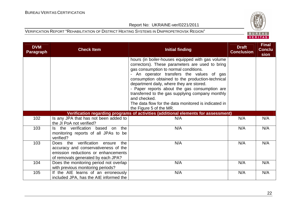

| <b>DVM</b><br>Paragraph | <b>Check Item</b>                                                                                                                                        | <b>Initial finding</b>                                                                                                                                                                                                                                                                                                                                                                                                                                                 | <b>Draft</b><br><b>Conclusion</b> | <b>Final</b><br><b>Conclu</b><br>sion |
|-------------------------|----------------------------------------------------------------------------------------------------------------------------------------------------------|------------------------------------------------------------------------------------------------------------------------------------------------------------------------------------------------------------------------------------------------------------------------------------------------------------------------------------------------------------------------------------------------------------------------------------------------------------------------|-----------------------------------|---------------------------------------|
|                         |                                                                                                                                                          | hours (in boiler-houses equipped with gas volume<br>correctors). These parameters are used to bring<br>gas consumption to normal conditions.<br>- An operator transfers the values of gas<br>consumption obtained to the production-technical<br>department daily, where they are stored.<br>- Paper reports about the gas consumption are<br>transferred to the gas supplying company monthly<br>and checked.<br>The data flow for the data monitored is indicated in |                                   |                                       |
|                         |                                                                                                                                                          | the Figure 5 of the MR.<br>Verification regarding programs of activities (additional elements for assessment)                                                                                                                                                                                                                                                                                                                                                          |                                   |                                       |
| 102                     | Is any JPA that has not been added to<br>the JI PoA not verified?                                                                                        | N/A                                                                                                                                                                                                                                                                                                                                                                                                                                                                    | N/A                               | N/A                                   |
| 103                     | Is the verification based on the<br>monitoring reports of all JPAs to be<br>verified?                                                                    | N/A                                                                                                                                                                                                                                                                                                                                                                                                                                                                    | N/A                               | N/A                                   |
| 103                     | Does the verification ensure<br>the<br>accuracy and conservativeness of the<br>emission reductions or enhancements<br>of removals generated by each JPA? | N/A                                                                                                                                                                                                                                                                                                                                                                                                                                                                    | N/A                               | N/A                                   |
| 104                     | Does the monitoring period not overlap<br>with previous monitoring periods?                                                                              | N/A                                                                                                                                                                                                                                                                                                                                                                                                                                                                    | N/A                               | N/A                                   |
| 105                     | If the AIE learns of an erroneously<br>included JPA, has the AIE informed the                                                                            | N/A                                                                                                                                                                                                                                                                                                                                                                                                                                                                    | N/A                               | N/A                                   |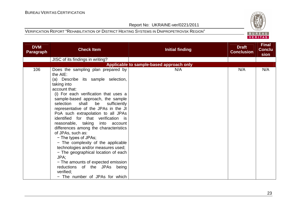

| <b>DVM</b><br><b>Paragraph</b> | <b>Check Item</b>                                                                                                                                                                                                                                                                                                                                                                                                                                                                                                                                                                                                                                                                                          | <b>Initial finding</b>                   | <b>Draft</b><br><b>Conclusion</b> | <b>Final</b><br><b>Conclu</b><br>sion |
|--------------------------------|------------------------------------------------------------------------------------------------------------------------------------------------------------------------------------------------------------------------------------------------------------------------------------------------------------------------------------------------------------------------------------------------------------------------------------------------------------------------------------------------------------------------------------------------------------------------------------------------------------------------------------------------------------------------------------------------------------|------------------------------------------|-----------------------------------|---------------------------------------|
|                                | JISC of its findings in writing?                                                                                                                                                                                                                                                                                                                                                                                                                                                                                                                                                                                                                                                                           |                                          |                                   |                                       |
|                                |                                                                                                                                                                                                                                                                                                                                                                                                                                                                                                                                                                                                                                                                                                            | Applicable to sample-based approach only |                                   |                                       |
| 106                            | Does the sampling plan prepared by<br>the AIE:<br>(a) Describe its sample selection,<br>taking into<br>account that:<br>(i) For each verification that uses a<br>sample-based approach, the sample<br>selection<br>shall<br>be sufficiently<br>representative of the JPAs in the JI<br>PoA such extrapolation to all JPAs<br>identified for that verification is<br>reasonable, taking<br>into account<br>differences among the characteristics<br>of JPAs, such as:<br>- The types of JPAs;<br>- The complexity of the applicable<br>technologies and/or measures used;<br>- The geographical location of each<br>JPA;<br>- The amounts of expected emission<br>reductions of the JPAs being<br>verified: | N/A                                      | N/A                               | N/A                                   |
|                                | - The number of JPAs for which                                                                                                                                                                                                                                                                                                                                                                                                                                                                                                                                                                                                                                                                             |                                          |                                   |                                       |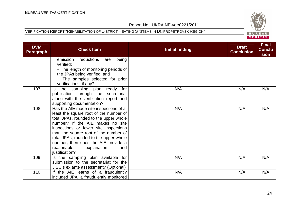

| <b>DVM</b><br><b>Paragraph</b> | <b>Check Item</b>                                                                                                                                                                                                                                                                                                                                                                        | <b>Initial finding</b> | <b>Draft</b><br><b>Conclusion</b> | <b>Final</b><br><b>Conclu</b><br>sion |
|--------------------------------|------------------------------------------------------------------------------------------------------------------------------------------------------------------------------------------------------------------------------------------------------------------------------------------------------------------------------------------------------------------------------------------|------------------------|-----------------------------------|---------------------------------------|
|                                | being<br>emission<br>reductions<br>are<br>verified:<br>- The length of monitoring periods of<br>the JPAs being verified; and<br>- The samples selected for prior<br>verifications, if any?                                                                                                                                                                                               |                        |                                   |                                       |
| 107                            | the sampling plan ready<br>for<br>ls.<br>publication through the secretariat<br>along with the verification report and<br>supporting documentation?                                                                                                                                                                                                                                      | N/A                    | N/A                               | N/A                                   |
| 108                            | Has the AIE made site inspections of at<br>least the square root of the number of<br>total JPAs, rounded to the upper whole<br>number? If the AIE makes no site<br>inspections or fewer site inspections<br>than the square root of the number of<br>total JPAs, rounded to the upper whole<br>number, then does the AIE provide a<br>reasonable<br>explanation<br>and<br>justification? | N/A                    | N/A                               | N/A                                   |
| 109                            | Is the sampling plan available for<br>submission to the secretariat for the<br>JISC.s ex ante assessment? (Optional)                                                                                                                                                                                                                                                                     | N/A                    | N/A                               | N/A                                   |
| 110                            | If the AIE learns of a fraudulently<br>included JPA, a fraudulently monitored                                                                                                                                                                                                                                                                                                            | N/A                    | N/A                               | N/A                                   |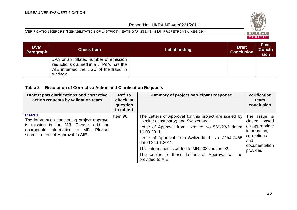#### VERIFICATION REPORT "REHABILITATION OF DISTRICT HEATING SYSTEMS IN DNIPROPETROVSK REGION"



| <b>DVM</b><br>Paragraph | <b>Check Item</b>                                                                                                                     | Initial finding | <b>Draft</b><br><b>Conclusion</b> | <b>Final</b><br><b>Conclu</b><br>sion |
|-------------------------|---------------------------------------------------------------------------------------------------------------------------------------|-----------------|-----------------------------------|---------------------------------------|
|                         | JPA or an inflated number of emission<br>reductions claimed in a JI PoA, has the<br>AIE informed the JISC of the fraud in<br>writing? |                 |                                   |                                       |

#### **Table 2 Resolution of Corrective Action and Clarification Requests**

| Draft report clarifications and corrective<br>action requests by validation team                                                                                                     | Ref. to<br>checklist<br>question<br>in table 1 | Summary of project participant response                                                                                                                                                                                                                                                                                                                                   | <b>Verification</b><br>team<br>conclusion                                                                          |
|--------------------------------------------------------------------------------------------------------------------------------------------------------------------------------------|------------------------------------------------|---------------------------------------------------------------------------------------------------------------------------------------------------------------------------------------------------------------------------------------------------------------------------------------------------------------------------------------------------------------------------|--------------------------------------------------------------------------------------------------------------------|
| <b>CAR01</b><br>The information concerning project approval<br>is missing in the MR. Please, add the<br>appropriate information to MR. Please,<br>submit Letters of Approval to AIE. | Item 90                                        | The Letters of Approval for this project are issued by<br>Ukraine (Host party) and Switzerland:<br>Letter of Approval from Ukraine: No. 569/23/7 dated<br>16.03.2011;<br>Letter of Approval from Switzerland: No. J294-0485<br>dated 24.01.2011.<br>This information is added to MR #03 version 02.<br>The copies of these Letters of Approval will be<br>provided to AIE | The issue is<br>closed based<br>on appropriate<br>information,<br>corrections<br>and<br>documentation<br>provided. |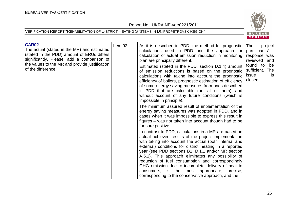Report No: UKRAINE-ver/0221/2011



| <b>CAR02</b><br>The actual (stated in the MR) and estimated<br>(stated in the PDD) amount of ERUs differs<br>significantly. Please, add a comparison of<br>the values to the MR and provide justification<br>of the difference. | Item 92 | As it is described in PDD, the method for prognostic<br>calculations used in PDD and the approach for<br>calculation of actual emission reduction in monitoring<br>plan are principally different.<br>Estimated (stated in the PDD, section D.1.4) amount<br>of emission reductions is based on the prognostic<br>calculations with taking into account the prognostic<br>efficiency of boilers, prognostic estimation of efficiency<br>of some energy saving measures from ones described<br>in PDD that are calculable (not all of them), and<br>without account of any future conditions (which is<br>impossible in principle). | The<br>project<br>participants'<br>response was<br>reviewed and<br>found to<br>be<br>sufficient. The<br>issue<br><b>is</b><br>closed. |
|---------------------------------------------------------------------------------------------------------------------------------------------------------------------------------------------------------------------------------|---------|------------------------------------------------------------------------------------------------------------------------------------------------------------------------------------------------------------------------------------------------------------------------------------------------------------------------------------------------------------------------------------------------------------------------------------------------------------------------------------------------------------------------------------------------------------------------------------------------------------------------------------|---------------------------------------------------------------------------------------------------------------------------------------|
|                                                                                                                                                                                                                                 |         | The minimum assured result of implementation of the<br>energy saving measures was adopted in PDD, and in<br>cases when it was impossible to express this result in<br>figures – was not taken into account though had to be<br>for sure positive.                                                                                                                                                                                                                                                                                                                                                                                  |                                                                                                                                       |
|                                                                                                                                                                                                                                 |         | In contrast to PDD, calculations in a MR are based on<br>actual achieved results of the project implementation<br>with taking into account the actual (both internal and<br>external) conditions for district heating in a reported<br>year (see PDD sections B1, D.1.1 and/or MR section<br>A.5.1). This approach eliminates any possibility of<br>reduction of fuel consumption and correspondingly<br>GHG emission due to incomplete delivery of heat to<br>consumers, is the most appropriate, precise,<br>corresponding to the conservative approach, and the                                                                 |                                                                                                                                       |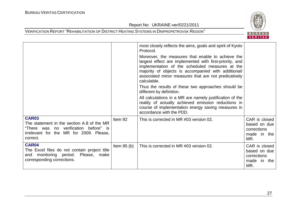

|                                                                                                                                                            |              | most closely reflects the aims, goals and spirit of Kyoto<br>Protocol.<br>Moreover, the measures that enable to achieve the<br>largest effect are implemented with first-priority, and<br>implementation of the scheduled measures at the<br>majority of objects is accompanied with additional/<br>associated minor measures that are not predicatively<br>calculable.<br>Thus the results of these two approaches should be<br>different by definition.<br>All calculations in a MR are namely justification of the<br>reality of actually achieved emission reductions in<br>course of implementation energy saving measures in<br>accordance with the PDD. |                                                                    |
|------------------------------------------------------------------------------------------------------------------------------------------------------------|--------------|----------------------------------------------------------------------------------------------------------------------------------------------------------------------------------------------------------------------------------------------------------------------------------------------------------------------------------------------------------------------------------------------------------------------------------------------------------------------------------------------------------------------------------------------------------------------------------------------------------------------------------------------------------------|--------------------------------------------------------------------|
| <b>CAR03</b><br>The statement in the section A.8 of the MR<br>"There was no verification before" is<br>irrelevant for the MR for 2009. Please,<br>correct. | Item 92      | This is corrected in MR #03 version 02.                                                                                                                                                                                                                                                                                                                                                                                                                                                                                                                                                                                                                        | CAR is closed<br>based on due<br>corrections<br>made in the<br>MR. |
| CAR04<br>The Excel files do not contain project title<br>Please, make<br>monitoring period.<br>and<br>corresponding corrections.                           | Item $95(b)$ | This is corrected in MR #03 version 02.                                                                                                                                                                                                                                                                                                                                                                                                                                                                                                                                                                                                                        | CAR is closed<br>based on due<br>corrections<br>made in the<br>MR. |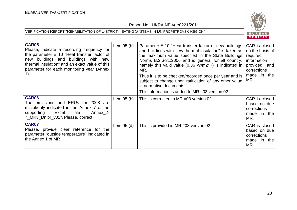## BUREAU VERITAS

| <b>CAR05</b><br>Please, indicate a recording frequency for<br>the parameter # 10 "Heat transfer factor of<br>buildings and buildings with new<br>new<br>thermal insulation" and an exact value of this<br>parameter for each monitoring year (Annex | Item $95(b)$  | Parameter # 10 "Heat transfer factor of new buildings<br>and buildings with new thermal insulation" is taken as<br>the maximum value specified in the State Buildings<br>Norms B.2.6-31:2006 and is general for all country,<br>namely this valid value (0.36 W/m2*K) is indicated in<br>MR.<br>Thus it is to be checked/recorded once per year and is<br>subject to change upon ratification of any other value<br>in normative documents.<br>This information is added to MR #03 version 02 | CAR is closed<br>on the basis of<br>required<br>information<br>provided and<br>corrections<br>made in the<br>MR. |
|-----------------------------------------------------------------------------------------------------------------------------------------------------------------------------------------------------------------------------------------------------|---------------|-----------------------------------------------------------------------------------------------------------------------------------------------------------------------------------------------------------------------------------------------------------------------------------------------------------------------------------------------------------------------------------------------------------------------------------------------------------------------------------------------|------------------------------------------------------------------------------------------------------------------|
| CAR06<br>The emissions and ERUs for 2008 are<br>mistakenly indicated in the Annex 7 of the<br>Excel<br>file<br>"Annex_2-<br>supporting<br>7_MR3_Dnipr_v01". Please, correct.                                                                        | Item $95(b)$  | This is corrected in MR #03 version 02.                                                                                                                                                                                                                                                                                                                                                                                                                                                       | CAR is closed<br>based on due<br>corrections<br>made in the<br>MR.                                               |
| <b>CAR07</b><br>Please, provide clear reference for the<br>parameter "outside temperature" indicated in<br>the Annex 1 of MR                                                                                                                        | Item $95$ (d) | This is provided in MR #03 version 02                                                                                                                                                                                                                                                                                                                                                                                                                                                         | CAR is closed<br>based on due<br>corrections<br>made in the<br>MR.                                               |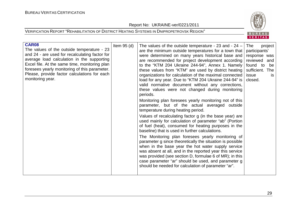Report No: UKRAINE-ver/0221/2011





| <b>CAR08</b><br>The values of the outside temperature - 23<br>and 24 - are used for recalculating factor for<br>average load calculation in the supporting<br>Excel file. At the same time, monitoring plan<br>foresees yearly monitoring of this parameter.<br>Please, provide factor calculations for each<br>monitoring year. | Item $95$ (d) | The values of the outside temperature - 23 and - $24 -$<br>are the minimum outside temperatures for a town that<br>were determined on many years historical base and<br>are recommended for project development according<br>to the "KTM 204 Ukraine 244-94", Annex 1. Namely<br>these values from "KTM" are used by district heating<br>organizations for calculation of the maximal connected<br>load for any year. Due to "KTM 204 Ukraine 244-94" is<br>valid normative document without any corrections,<br>these values were not changed during monitoring<br>periods.<br>Monitoring plan foresees yearly monitoring not of this<br>parameter, but of the actual averaged outside<br>temperature during heating period.<br>Values of recalculating factor g (in the base year) are<br>used mainly for calculation of parameter "ab" (Portion<br>of fuel (heat), consumed for heating purposes in the<br>baseline) that is used in further calculations.<br>The Monitoring plan foresees yearly monitoring of<br>parameter g since theoretically the situation is possible<br>when in the base year the hot water supply service<br>was absent at all, and in the reported year this service<br>was provided (see section D, formulae 6 of MR); in this<br>case parameter "ar" should be used, and parameter g<br>should be needed for calculation of parameter "ar". | The<br>project<br>participants'<br>response was<br>reviewed and<br>found to<br>be<br>sufficient. The<br>issue<br>is.<br>closed. |
|----------------------------------------------------------------------------------------------------------------------------------------------------------------------------------------------------------------------------------------------------------------------------------------------------------------------------------|---------------|----------------------------------------------------------------------------------------------------------------------------------------------------------------------------------------------------------------------------------------------------------------------------------------------------------------------------------------------------------------------------------------------------------------------------------------------------------------------------------------------------------------------------------------------------------------------------------------------------------------------------------------------------------------------------------------------------------------------------------------------------------------------------------------------------------------------------------------------------------------------------------------------------------------------------------------------------------------------------------------------------------------------------------------------------------------------------------------------------------------------------------------------------------------------------------------------------------------------------------------------------------------------------------------------------------------------------------------------------------------------------|---------------------------------------------------------------------------------------------------------------------------------|
|----------------------------------------------------------------------------------------------------------------------------------------------------------------------------------------------------------------------------------------------------------------------------------------------------------------------------------|---------------|----------------------------------------------------------------------------------------------------------------------------------------------------------------------------------------------------------------------------------------------------------------------------------------------------------------------------------------------------------------------------------------------------------------------------------------------------------------------------------------------------------------------------------------------------------------------------------------------------------------------------------------------------------------------------------------------------------------------------------------------------------------------------------------------------------------------------------------------------------------------------------------------------------------------------------------------------------------------------------------------------------------------------------------------------------------------------------------------------------------------------------------------------------------------------------------------------------------------------------------------------------------------------------------------------------------------------------------------------------------------------|---------------------------------------------------------------------------------------------------------------------------------|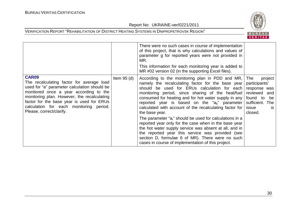

|                                                                                                                                                                                                                                                                                                                        |               | There were no such cases in course of implementation<br>of this project, that is why calculations and values of<br>parameter g for reported years were not provided in<br>MR.<br>This information for each monitoring year is added to<br>MR #02 version 02 (in the supporting Excel files).                                                                                                        |                                                                                                                                       |
|------------------------------------------------------------------------------------------------------------------------------------------------------------------------------------------------------------------------------------------------------------------------------------------------------------------------|---------------|-----------------------------------------------------------------------------------------------------------------------------------------------------------------------------------------------------------------------------------------------------------------------------------------------------------------------------------------------------------------------------------------------------|---------------------------------------------------------------------------------------------------------------------------------------|
| <b>CAR09</b><br>The recalculating factor for average load<br>used for "a" parameter calculation should be<br>monitored once a year according to the<br>monitoring plan. However, the recalculating<br>factor for the base year is used for ERUs<br>calculation for each monitoring period.<br>Please, correct/clarify. | Item $95$ (d) | According to the monitoring plan in PDD and MR,<br>namely the recalculating factor for the base year<br>should be used for ERUs calculation for each<br>monitoring period, since sharing of the heat/fuel<br>consumed for heating and for hot water supply in any<br>reported year is based on the " $a_b$ " parameter<br>calculated with account of the recalculating factor for<br>the base year. | The<br>project<br>participants'<br>response was<br>reviewed and<br>found to<br>be<br>sufficient. The<br>issue<br><b>is</b><br>closed. |
|                                                                                                                                                                                                                                                                                                                        |               | The parameter "a <sub>r</sub> " should be used for calculations in a<br>reported year only for the case when in the base year<br>the hot water supply service was absent at all, and in<br>the reported year this service was provided (see<br>section D, formulae 6 of MR). There were no such<br>cases in course of implementation of this project.                                               |                                                                                                                                       |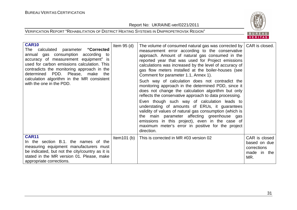Report No: UKRAINE-ver/0221/2011





| <b>CAR10</b><br>The calculated parameter "Corrected<br>annual gas consumption according to<br>accuracy of measurement equipment" is<br>used for carbon emissions calculation. This<br>contradicts the monitoring approach in the<br>determined PDD. Please, make the<br>calculation algorithm in the MR consistent<br>with the one in the PDD. | Item $95$ (d)  | The volume of consumed natural gas was corrected by<br>measurement error according to the conservative<br>approach. Amount of natural gas consumed in the<br>reported year that was used for Project emissions<br>calculations was increased by the level of accuracy of<br>gas flow meters installed at the boiler-houses (see<br>Comment for parameter 1.1, Annex 1).<br>Such way of calculation does not contradict the<br>monitoring approach in the determined PDD, since it<br>does not change the calculation algorithm but only<br>reflects the conservative approach to data processing.<br>Even though such way of calculation leads to<br>understating of amounts of ERUs, it guarantees<br>validity of values of natural gas consumption (which is<br>the main parameter affecting greenhouse gas<br>emissions in this project), even in the case of<br>maximum meter's error in positive for the project<br>direction. | CAR is closed.                                                     |
|------------------------------------------------------------------------------------------------------------------------------------------------------------------------------------------------------------------------------------------------------------------------------------------------------------------------------------------------|----------------|-------------------------------------------------------------------------------------------------------------------------------------------------------------------------------------------------------------------------------------------------------------------------------------------------------------------------------------------------------------------------------------------------------------------------------------------------------------------------------------------------------------------------------------------------------------------------------------------------------------------------------------------------------------------------------------------------------------------------------------------------------------------------------------------------------------------------------------------------------------------------------------------------------------------------------------|--------------------------------------------------------------------|
| <b>CAR11</b><br>In the section B.1, the names of the<br>measuring equipment manufacturers must<br>be indicated, but not the city/country as it is<br>stated in the MR version 01. Please, make<br>appropriate corrections.                                                                                                                     | Item $101$ (b) | This is corrected in MR #03 version 02                                                                                                                                                                                                                                                                                                                                                                                                                                                                                                                                                                                                                                                                                                                                                                                                                                                                                              | CAR is closed<br>based on due<br>corrections<br>made in the<br>MR. |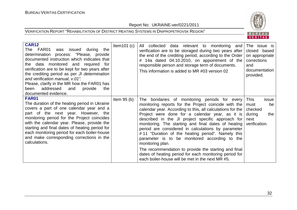Report No: UKRAINE-ver/0221/2011



| <b>CAR12</b><br>FAR01<br>was issued during<br>The<br>the<br>determination process: "Please, provide<br>documented instruction which indicates that<br>the data monitored and required<br>for<br>verification are to be kept for two years after<br>the crediting period as per JI determination<br>and verification manual, v.01".<br>Please, clarify in the MR how the FAR01 has<br>addressed<br>provide<br>and<br>the<br>been<br>documented evidence. | Item $101(c)$ | All collected data relevant to monitoring and<br>verification are to be storaged during two years after<br>the end of the crediting period, according to the Order<br>14a dated 04.10.2010, on appointment of the<br>responsible person and storage term of documents.<br>This information is added to MR #03 version 02                                                                                                                                                                                                                                                                                                                                                                 | The issue is<br>closed based<br>on appropriate<br>corrections<br>and<br>documentation<br>provided. |
|---------------------------------------------------------------------------------------------------------------------------------------------------------------------------------------------------------------------------------------------------------------------------------------------------------------------------------------------------------------------------------------------------------------------------------------------------------|---------------|------------------------------------------------------------------------------------------------------------------------------------------------------------------------------------------------------------------------------------------------------------------------------------------------------------------------------------------------------------------------------------------------------------------------------------------------------------------------------------------------------------------------------------------------------------------------------------------------------------------------------------------------------------------------------------------|----------------------------------------------------------------------------------------------------|
| <b>FAR01</b><br>The duration of the heating period in Ukraine<br>covers a part of one calendar year and a<br>part of the next year. However, the<br>monitoring period for the Project coincides<br>with the calendar year. Please, provide the<br>starting and final dates of heating period for<br>each monitoring period for each boiler-house<br>and make corresponding corrections in the<br>calculations.                                          | Item $95(b)$  | The bondaries of monitoring periods for every<br>monitoring reports for the Project coincide with the<br>calendar year. According to this, all calculations for the<br>Project were done for a calendar year, as it is<br>described in the JI project specific approach for<br>monitoring. The starting and final dates of heating<br>period are considered in calculations by parameter<br>#11 "Duration of the heating period". Namely this<br>parameter is to be monitored according to the<br>monitoring plan.<br>The recommendation to provide the starting and final<br>dates of heating period for each monitoring period for<br>each boiler-house will be met in the next MR #5. | <b>This</b><br>issue<br>must<br>be<br>checked<br>during<br>the<br>next<br>verification.            |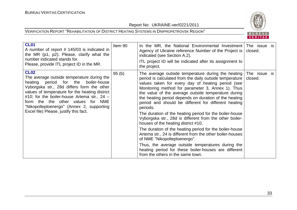

| <b>CL01</b><br>A number of report # 145/03 is indicated in<br>the MR (p1, p2). Please, clarify what the<br>number indicated stands for.<br>Please, provide ITL project ID in the MR.                                                                                                                                                                                             | Item 90 | In the MR, the National Environmental Investment<br>Agency of Ukraine reference Number of the Project is<br>indicated (see Section A.2).<br>ITL project ID will be indicated after its assignment to<br>the project.                                                                                                                                                                                                                                                                                                                                                                                                                | The issue is<br>closed. |  |
|----------------------------------------------------------------------------------------------------------------------------------------------------------------------------------------------------------------------------------------------------------------------------------------------------------------------------------------------------------------------------------|---------|-------------------------------------------------------------------------------------------------------------------------------------------------------------------------------------------------------------------------------------------------------------------------------------------------------------------------------------------------------------------------------------------------------------------------------------------------------------------------------------------------------------------------------------------------------------------------------------------------------------------------------------|-------------------------|--|
| <b>CL02</b><br>The average outside temperature during the<br>period for the boiler-house<br>heating<br>Vyborgska str., 28d differs form the other<br>values of temperature for the heating district<br>#10; for the boiler-house Artema str., $24 -$<br>form the the other values for NME<br>"Nikopolteploenergo" (Annex 2, supporting<br>Excel file) Please, justify this fact. | 95(b)   | The average outside temperature during the heating<br>period is calculated from the daily outside temperature<br>values taken for every day of heating period (see<br>Monitoring method for parameter 3, Annex 1). Thus<br>the value of the average outside temperature during<br>the heating period depends on duration of the heating<br>period and should be different for different heating<br>periods.<br>The duration of the heating period for the boiler-house<br>Vyborgska str., 28d is different from the other boiler-<br>houses of the heating district #10.<br>The duration of the heating period for the boiler-house | The issue is<br>closed. |  |
|                                                                                                                                                                                                                                                                                                                                                                                  |         | Artema str., 24 is different from the other boiler-houses<br>of NME "Nikopolteploenergo".                                                                                                                                                                                                                                                                                                                                                                                                                                                                                                                                           |                         |  |
|                                                                                                                                                                                                                                                                                                                                                                                  |         | Thus, the average outside temperatures during the<br>heating period for these boiler-houses are different<br>from the others in the same town.                                                                                                                                                                                                                                                                                                                                                                                                                                                                                      |                         |  |